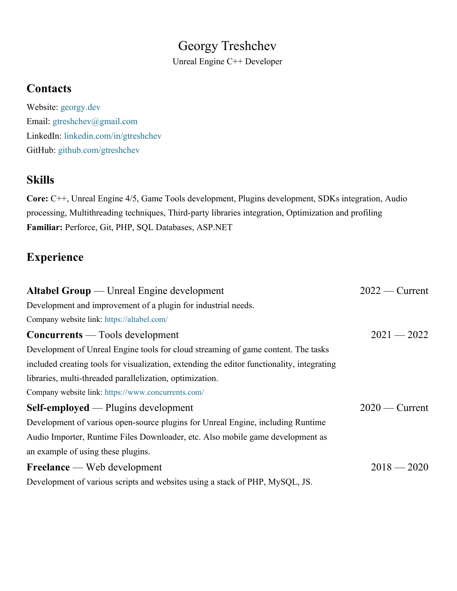## Georgy Treshchev

Unreal Engine C++ Developer

#### **Contacts**

Website: georgy.dev Email: gtreshchev@gmail.com LinkedIn: linkedin.com/in/gtreshchev GitHub: github.com/gtreshchev

### **Skills**

**Core:** C++, Unreal Engine 4/5, Game Tools development, Plugins development, SDKs integration, Audio processing, Multithreading techniques, Third-party libraries integration, Optimization and profiling **Familiar:** Perforce, Git, PHP, SQL Databases, ASP.NET

## **Experience**

| <b>Altabel Group</b> — Unreal Engine development                                           | $2022$ - Current |
|--------------------------------------------------------------------------------------------|------------------|
| Development and improvement of a plugin for industrial needs.                              |                  |
| Company website link: https://altabel.com/                                                 |                  |
| <b>Concurrents</b> — Tools development                                                     | $2021 - 2022$    |
| Development of Unreal Engine tools for cloud streaming of game content. The tasks          |                  |
| included creating tools for visualization, extending the editor functionality, integrating |                  |
| libraries, multi-threaded parallelization, optimization.                                   |                  |
| Company website link: https://www.concurrents.com/                                         |                  |
| <b>Self-employed</b> — Plugins development                                                 | $2020$ — Current |
| Development of various open-source plugins for Unreal Engine, including Runtime            |                  |
| Audio Importer, Runtime Files Downloader, etc. Also mobile game development as             |                  |
| an example of using these plugins.                                                         |                  |
| <b>Freelance</b> — Web development                                                         | $2018 - 2020$    |
| Development of various scripts and websites using a stack of PHP, MySQL, JS.               |                  |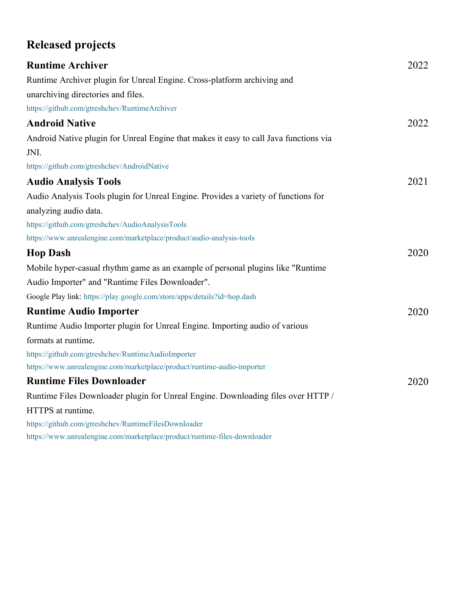# **Released projects**

| <b>Runtime Archiver</b>                                                               | 2022 |
|---------------------------------------------------------------------------------------|------|
| Runtime Archiver plugin for Unreal Engine. Cross-platform archiving and               |      |
| unarchiving directories and files.                                                    |      |
| https://github.com/gtreshchev/RuntimeArchiver                                         |      |
| <b>Android Native</b>                                                                 | 2022 |
| Android Native plugin for Unreal Engine that makes it easy to call Java functions via |      |
| JNI.                                                                                  |      |
| https://github.com/gtreshchev/AndroidNative                                           |      |
| <b>Audio Analysis Tools</b>                                                           | 2021 |
| Audio Analysis Tools plugin for Unreal Engine. Provides a variety of functions for    |      |
| analyzing audio data.                                                                 |      |
| https://github.com/gtreshchev/AudioAnalysisTools                                      |      |
| https://www.unrealengine.com/marketplace/product/audio-analysis-tools                 |      |
| <b>Hop Dash</b>                                                                       | 2020 |
| Mobile hyper-casual rhythm game as an example of personal plugins like "Runtime"      |      |
| Audio Importer" and "Runtime Files Downloader".                                       |      |
| Google Play link: https://play.google.com/store/apps/details?id=hop.dash              |      |
| <b>Runtime Audio Importer</b>                                                         | 2020 |
| Runtime Audio Importer plugin for Unreal Engine. Importing audio of various           |      |
| formats at runtime.                                                                   |      |
| https://github.com/gtreshchev/RuntimeAudioImporter                                    |      |
| https://www.unrealengine.com/marketplace/product/runtime-audio-importer               |      |
| <b>Runtime Files Downloader</b>                                                       | 2020 |
| Runtime Files Downloader plugin for Unreal Engine. Downloading files over HTTP /      |      |
| HTTPS at runtime.                                                                     |      |
| https://github.com/gtreshchev/RuntimeFilesDownloader                                  |      |
| https://www.unrealengine.com/marketplace/product/runtime-files-downloader             |      |